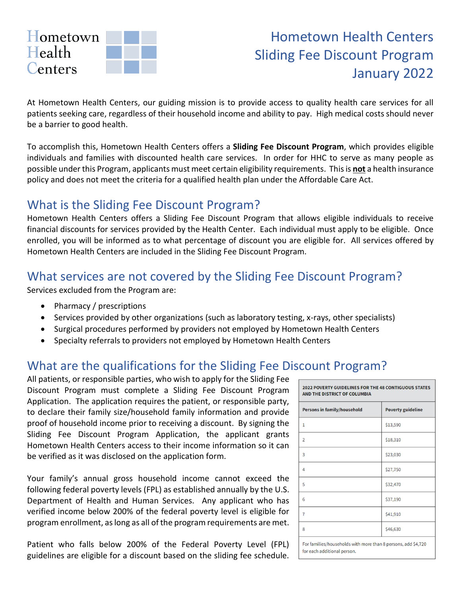

# Hometown Health Centers Sliding Fee Discount Program January 2022

At Hometown Health Centers, our guiding mission is to provide access to quality health care services for all patients seeking care, regardless of their household income and ability to pay. High medical costs should never be a barrier to good health.

To accomplish this, Hometown Health Centers offers a **Sliding Fee Discount Program**, which provides eligible individuals and families with discounted health care services. In order for HHC to serve as many people as possible under this Program, applicants must meet certain eligibility requirements. This is **not** a health insurance policy and does not meet the criteria for a qualified health plan under the Affordable Care Act.

#### What is the Sliding Fee Discount Program?

Hometown Health Centers offers a Sliding Fee Discount Program that allows eligible individuals to receive financial discounts for services provided by the Health Center. Each individual must apply to be eligible. Once enrolled, you will be informed as to what percentage of discount you are eligible for. All services offered by Hometown Health Centers are included in the Sliding Fee Discount Program.

#### What services are not covered by the Sliding Fee Discount Program?

Services excluded from the Program are:

- Pharmacy / prescriptions
- Services provided by other organizations (such as laboratory testing, x-rays, other specialists)
- Surgical procedures performed by providers not employed by Hometown Health Centers
- Specialty referrals to providers not employed by Hometown Health Centers

## What are the qualifications for the Sliding Fee Discount Program?

All patients, or responsible parties, who wish to apply for the Sliding Fee Discount Program must complete a Sliding Fee Discount Program Application. The application requires the patient, or responsible party, to declare their family size/household family information and provide proof of household income prior to receiving a discount. By signing the Sliding Fee Discount Program Application, the applicant grants Hometown Health Centers access to their income information so it can be verified as it was disclosed on the application form.

Your family's annual gross household income cannot exceed the following federal poverty levels (FPL) as established annually by the U.S. Department of Health and Human Services. Any applicant who has verified income below 200% of the federal poverty level is eligible for program enrollment, as long as all of the program requirements are met.

Patient who falls below 200% of the Federal Poverty Level (FPL) guidelines are eligible for a discount based on the sliding fee schedule.

| <b>Persons in family/household</b> | <b>Poverty guideline</b> |
|------------------------------------|--------------------------|
| $\mathbf{1}$                       | \$13,590                 |
| $\overline{2}$                     | \$18,310                 |
| 3                                  | \$23,030                 |
| $\overline{4}$                     | \$27,750                 |
| 5                                  | \$32,470                 |
| 6                                  | \$37,190                 |
| $\overline{7}$                     | \$41,910                 |
| 8                                  | \$46,630                 |